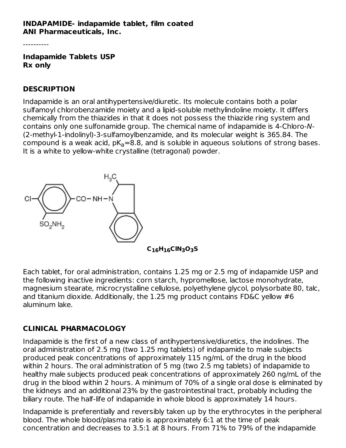#### **INDAPAMIDE- indapamide tablet, film coated ANI Pharmaceuticals, Inc.**

----------

**Indapamide Tablets USP Rx only**

### **DESCRIPTION**

Indapamide is an oral antihypertensive/diuretic. Its molecule contains both a polar sulfamoyl chlorobenzamide moiety and a lipid-soluble methylindoline moiety. It differs chemically from the thiazides in that it does not possess the thiazide ring system and contains only one sulfonamide group. The chemical name of indapamide is 4-Chloro-N- (2-methyl-1-indolinyl)-3-sulfamoylbenzamide, and its molecular weight is 365.84. The compound is a weak acid,  $pK_a{=}8.8$ , and is soluble in aqueous solutions of strong bases. It is a white to yellow-white crystalline (tetragonal) powder.



Each tablet, for oral administration, contains 1.25 mg or 2.5 mg of indapamide USP and the following inactive ingredients: corn starch, hypromellose, lactose monohydrate, magnesium stearate, microcrystalline cellulose, polyethylene glycol, polysorbate 80, talc, and titanium dioxide. Additionally, the 1.25 mg product contains FD&C yellow #6 aluminum lake.

# **CLINICAL PHARMACOLOGY**

Indapamide is the first of a new class of antihypertensive/diuretics, the indolines. The oral administration of 2.5 mg (two 1.25 mg tablets) of indapamide to male subjects produced peak concentrations of approximately 115 ng/mL of the drug in the blood within 2 hours. The oral administration of 5 mg (two 2.5 mg tablets) of indapamide to healthy male subjects produced peak concentrations of approximately 260 ng/mL of the drug in the blood within 2 hours. A minimum of 70% of a single oral dose is eliminated by the kidneys and an additional 23% by the gastrointestinal tract, probably including the biliary route. The half-life of indapamide in whole blood is approximately 14 hours.

Indapamide is preferentially and reversibly taken up by the erythrocytes in the peripheral blood. The whole blood/plasma ratio is approximately 6:1 at the time of peak concentration and decreases to 3.5:1 at 8 hours. From 71% to 79% of the indapamide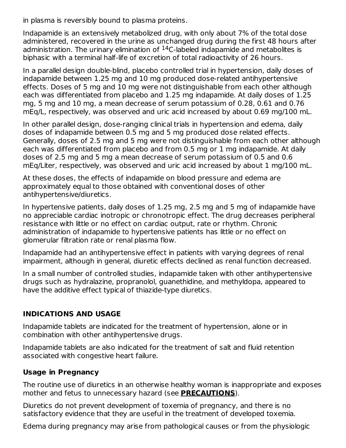in plasma is reversibly bound to plasma proteins.

Indapamide is an extensively metabolized drug, with only about 7% of the total dose administered, recovered in the urine as unchanged drug during the first 48 hours after administration. The urinary elimination of  $^{14}$ C-labeled indapamide and metabolites is biphasic with a terminal half-life of excretion of total radioactivity of 26 hours.

In a parallel design double-blind, placebo controlled trial in hypertension, daily doses of indapamide between 1.25 mg and 10 mg produced dose-related antihypertensive effects. Doses of 5 mg and 10 mg were not distinguishable from each other although each was differentiated from placebo and 1.25 mg indapamide. At daily doses of 1.25 mg, 5 mg and 10 mg, a mean decrease of serum potassium of 0.28, 0.61 and 0.76 mEq/L, respectively, was observed and uric acid increased by about 0.69 mg/100 mL.

In other parallel design, dose-ranging clinical trials in hypertension and edema, daily doses of indapamide between 0.5 mg and 5 mg produced dose related effects. Generally, doses of 2.5 mg and 5 mg were not distinguishable from each other although each was differentiated from placebo and from 0.5 mg or 1 mg indapamide. At daily doses of 2.5 mg and 5 mg a mean decrease of serum potassium of 0.5 and 0.6 mEq/Liter, respectively, was observed and uric acid increased by about 1 mg/100 mL.

At these doses, the effects of indapamide on blood pressure and edema are approximately equal to those obtained with conventional doses of other antihypertensive/diuretics.

In hypertensive patients, daily doses of 1.25 mg, 2.5 mg and 5 mg of indapamide have no appreciable cardiac inotropic or chronotropic effect. The drug decreases peripheral resistance with little or no effect on cardiac output, rate or rhythm. Chronic administration of indapamide to hypertensive patients has little or no effect on glomerular filtration rate or renal plasma flow.

Indapamide had an antihypertensive effect in patients with varying degrees of renal impairment, although in general, diuretic effects declined as renal function decreased.

In a small number of controlled studies, indapamide taken with other antihypertensive drugs such as hydralazine, propranolol, guanethidine, and methyldopa, appeared to have the additive effect typical of thiazide-type diuretics.

# **INDICATIONS AND USAGE**

Indapamide tablets are indicated for the treatment of hypertension, alone or in combination with other antihypertensive drugs.

Indapamide tablets are also indicated for the treatment of salt and fluid retention associated with congestive heart failure.

# **Usage in Pregnancy**

The routine use of diuretics in an otherwise healthy woman is inappropriate and exposes mother and fetus to unnecessary hazard (see **PRECAUTIONS**).

Diuretics do not prevent development of toxemia of pregnancy, and there is no satisfactory evidence that they are useful in the treatment of developed toxemia.

Edema during pregnancy may arise from pathological causes or from the physiologic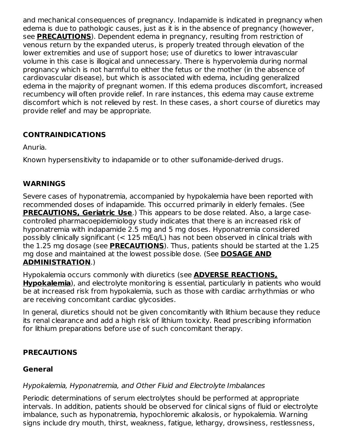and mechanical consequences of pregnancy. Indapamide is indicated in pregnancy when edema is due to pathologic causes, just as it is in the absence of pregnancy (however, see **PRECAUTIONS**). Dependent edema in pregnancy, resulting from restriction of venous return by the expanded uterus, is properly treated through elevation of the lower extremities and use of support hose; use of diuretics to lower intravascular volume in this case is illogical and unnecessary. There is hypervolemia during normal pregnancy which is not harmful to either the fetus or the mother (in the absence of cardiovascular disease), but which is associated with edema, including generalized edema in the majority of pregnant women. If this edema produces discomfort, increased recumbency will often provide relief. In rare instances, this edema may cause extreme discomfort which is not relieved by rest. In these cases, a short course of diuretics may provide relief and may be appropriate.

# **CONTRAINDICATIONS**

Anuria.

Known hypersensitivity to indapamide or to other sulfonamide-derived drugs.

# **WARNINGS**

Severe cases of hyponatremia, accompanied by hypokalemia have been reported with recommended doses of indapamide. This occurred primarily in elderly females. (See **PRECAUTIONS, Geriatric Use**.) This appears to be dose related. Also, a large casecontrolled pharmacoepidemiology study indicates that there is an increased risk of hyponatremia with indapamide 2.5 mg and 5 mg doses. Hyponatremia considered possibly clinically significant (< 125 mEq/L) has not been observed in clinical trials with the 1.25 mg dosage (see **PRECAUTIONS**). Thus, patients should be started at the 1.25 mg dose and maintained at the lowest possible dose. (See **DOSAGE AND ADMINISTRATION**.)

Hypokalemia occurs commonly with diuretics (see **ADVERSE REACTIONS, Hypokalemia**), and electrolyte monitoring is essential, particularly in patients who would be at increased risk from hypokalemia, such as those with cardiac arrhythmias or who are receiving concomitant cardiac glycosides.

In general, diuretics should not be given concomitantly with lithium because they reduce its renal clearance and add a high risk of lithium toxicity. Read prescribing information for lithium preparations before use of such concomitant therapy.

# **PRECAUTIONS**

# **General**

# Hypokalemia, Hyponatremia, and Other Fluid and Electrolyte Imbalances

Periodic determinations of serum electrolytes should be performed at appropriate intervals. In addition, patients should be observed for clinical signs of fluid or electrolyte imbalance, such as hyponatremia, hypochloremic alkalosis, or hypokalemia. Warning signs include dry mouth, thirst, weakness, fatigue, lethargy, drowsiness, restlessness,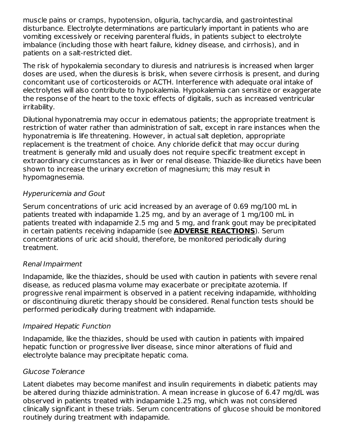muscle pains or cramps, hypotension, oliguria, tachycardia, and gastrointestinal disturbance. Electrolyte determinations are particularly important in patients who are vomiting excessively or receiving parenteral fluids, in patients subject to electrolyte imbalance (including those with heart failure, kidney disease, and cirrhosis), and in patients on a salt-restricted diet.

The risk of hypokalemia secondary to diuresis and natriuresis is increased when larger doses are used, when the diuresis is brisk, when severe cirrhosis is present, and during concomitant use of corticosteroids or ACTH. Interference with adequate oral intake of electrolytes will also contribute to hypokalemia. Hypokalemia can sensitize or exaggerate the response of the heart to the toxic effects of digitalis, such as increased ventricular irritability.

Dilutional hyponatremia may occur in edematous patients; the appropriate treatment is restriction of water rather than administration of salt, except in rare instances when the hyponatremia is life threatening. However, in actual salt depletion, appropriate replacement is the treatment of choice. Any chloride deficit that may occur during treatment is generally mild and usually does not require specific treatment except in extraordinary circumstances as in liver or renal disease. Thiazide-like diuretics have been shown to increase the urinary excretion of magnesium; this may result in hypomagnesemia.

### Hyperuricemia and Gout

Serum concentrations of uric acid increased by an average of 0.69 mg/100 mL in patients treated with indapamide 1.25 mg, and by an average of 1 mg/100 mL in patients treated with indapamide 2.5 mg and 5 mg, and frank gout may be precipitated in certain patients receiving indapamide (see **ADVERSE REACTIONS**). Serum concentrations of uric acid should, therefore, be monitored periodically during treatment.

### Renal Impairment

Indapamide, like the thiazides, should be used with caution in patients with severe renal disease, as reduced plasma volume may exacerbate or precipitate azotemia. If progressive renal impairment is observed in a patient receiving indapamide, withholding or discontinuing diuretic therapy should be considered. Renal function tests should be performed periodically during treatment with indapamide.

### Impaired Hepatic Function

Indapamide, like the thiazides, should be used with caution in patients with impaired hepatic function or progressive liver disease, since minor alterations of fluid and electrolyte balance may precipitate hepatic coma.

# Glucose Tolerance

Latent diabetes may become manifest and insulin requirements in diabetic patients may be altered during thiazide administration. A mean increase in glucose of 6.47 mg/dL was observed in patients treated with indapamide 1.25 mg, which was not considered clinically significant in these trials. Serum concentrations of glucose should be monitored routinely during treatment with indapamide.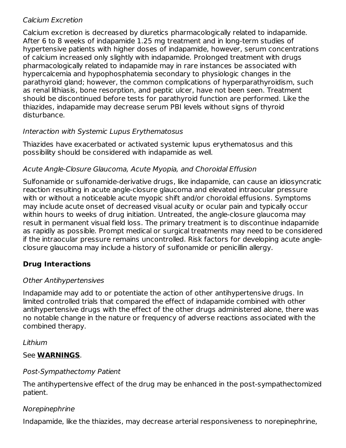# Calcium Excretion

Calcium excretion is decreased by diuretics pharmacologically related to indapamide. After 6 to 8 weeks of indapamide 1.25 mg treatment and in long-term studies of hypertensive patients with higher doses of indapamide, however, serum concentrations of calcium increased only slightly with indapamide. Prolonged treatment with drugs pharmacologically related to indapamide may in rare instances be associated with hypercalcemia and hypophosphatemia secondary to physiologic changes in the parathyroid gland; however, the common complications of hyperparathyroidism, such as renal lithiasis, bone resorption, and peptic ulcer, have not been seen. Treatment should be discontinued before tests for parathyroid function are performed. Like the thiazides, indapamide may decrease serum PBI levels without signs of thyroid disturbance.

# Interaction with Systemic Lupus Erythematosus

Thiazides have exacerbated or activated systemic lupus erythematosus and this possibility should be considered with indapamide as well.

### Acute Angle-Closure Glaucoma, Acute Myopia, and Choroidal Effusion

Sulfonamide or sulfonamide-derivative drugs, like indapamide, can cause an idiosyncratic reaction resulting in acute angle-closure glaucoma and elevated intraocular pressure with or without a noticeable acute myopic shift and/or choroidal effusions. Symptoms may include acute onset of decreased visual acuity or ocular pain and typically occur within hours to weeks of drug initiation. Untreated, the angle-closure glaucoma may result in permanent visual field loss. The primary treatment is to discontinue indapamide as rapidly as possible. Prompt medical or surgical treatments may need to be considered if the intraocular pressure remains uncontrolled. Risk factors for developing acute angleclosure glaucoma may include a history of sulfonamide or penicillin allergy.

# **Drug Interactions**

# Other Antihypertensives

Indapamide may add to or potentiate the action of other antihypertensive drugs. In limited controlled trials that compared the effect of indapamide combined with other antihypertensive drugs with the effect of the other drugs administered alone, there was no notable change in the nature or frequency of adverse reactions associated with the combined therapy.

Lithium

# See **WARNINGS**.

### Post-Sympathectomy Patient

The antihypertensive effect of the drug may be enhanced in the post-sympathectomized patient.

### Norepinephrine

Indapamide, like the thiazides, may decrease arterial responsiveness to norepinephrine,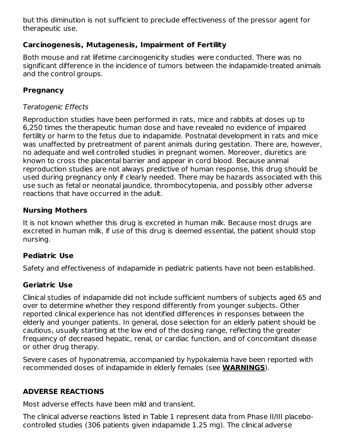but this diminution is not sufficient to preclude effectiveness of the pressor agent for therapeutic use.

# **Carcinogenesis, Mutagenesis, Impairment of Fertility**

Both mouse and rat lifetime carcinogenicity studies were conducted. There was no significant difference in the incidence of tumors between the indapamide-treated animals and the control groups.

# **Pregnancy**

# Teratogenic Effects

Reproduction studies have been performed in rats, mice and rabbits at doses up to 6,250 times the therapeutic human dose and have revealed no evidence of impaired fertility or harm to the fetus due to indapamide. Postnatal development in rats and mice was unaffected by pretreatment of parent animals during gestation. There are, however, no adequate and well controlled studies in pregnant women. Moreover, diuretics are known to cross the placental barrier and appear in cord blood. Because animal reproduction studies are not always predictive of human response, this drug should be used during pregnancy only if clearly needed. There may be hazards associated with this use such as fetal or neonatal jaundice, thrombocytopenia, and possibly other adverse reactions that have occurred in the adult.

# **Nursing Mothers**

It is not known whether this drug is excreted in human milk. Because most drugs are excreted in human milk, if use of this drug is deemed essential, the patient should stop nursing.

# **Pediatric Use**

Safety and effectiveness of indapamide in pediatric patients have not been established.

# **Geriatric Use**

Clinical studies of indapamide did not include sufficient numbers of subjects aged 65 and over to determine whether they respond differently from younger subjects. Other reported clinical experience has not identified differences in responses between the elderly and younger patients. In general, dose selection for an elderly patient should be cautious, usually starting at the low end of the dosing range, reflecting the greater frequency of decreased hepatic, renal, or cardiac function, and of concomitant disease or other drug therapy.

Severe cases of hyponatremia, accompanied by hypokalemia have been reported with recommended doses of indapamide in elderly females (see **WARNINGS**).

# **ADVERSE REACTIONS**

Most adverse effects have been mild and transient.

The clinical adverse reactions listed in Table 1 represent data from Phase II/III placebocontrolled studies (306 patients given indapamide 1.25 mg). The clinical adverse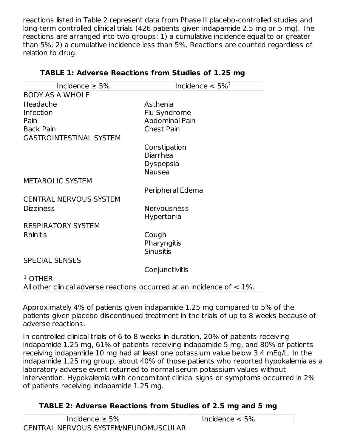reactions listed in Table 2 represent data from Phase II placebo-controlled studies and long-term controlled clinical trials (426 patients given indapamide 2.5 mg or 5 mg). The reactions are arranged into two groups: 1) a cumulative incidence equal to or greater than 5%; 2) a cumulative incidence less than 5%. Reactions are counted regardless of relation to drug.

| Incidence $\geq 5\%$           | Incidence $< 5\%$ <sup>1</sup>                                               |
|--------------------------------|------------------------------------------------------------------------------|
| <b>BODY AS A WHOLE</b>         |                                                                              |
| Headache                       | Asthenia                                                                     |
| Infection                      | Flu Syndrome                                                                 |
| Pain                           | <b>Abdominal Pain</b>                                                        |
| <b>Back Pain</b>               | <b>Chest Pain</b>                                                            |
| <b>GASTROINTESTINAL SYSTEM</b> |                                                                              |
|                                | Constipation<br><b>Diarrhea</b><br><b>Dyspepsia</b><br>Nausea                |
| METABOLIC SYSTEM               |                                                                              |
|                                | Peripheral Edema                                                             |
| <b>CENTRAL NERVOUS SYSTEM</b>  |                                                                              |
| <b>Dizziness</b>               | Nervousness                                                                  |
|                                | Hypertonia                                                                   |
| <b>RESPIRATORY SYSTEM</b>      |                                                                              |
| <b>Rhinitis</b>                | Cough<br>Pharyngitis<br>Sinusitis                                            |
| <b>SPECIAL SENSES</b>          |                                                                              |
|                                | Conjunctivitis                                                               |
| $1$ OTHER                      |                                                                              |
|                                | All other clinical adverse reactions occurred at an incidence of $\lt 1\%$ . |

### **TABLE 1: Adverse Reactions from Studies of 1.25 mg**

Approximately 4% of patients given indapamide 1.25 mg compared to 5% of the patients given placebo discontinued treatment in the trials of up to 8 weeks because of adverse reactions.

In controlled clinical trials of 6 to 8 weeks in duration, 20% of patients receiving indapamide 1.25 mg, 61% of patients receiving indapamide 5 mg, and 80% of patients receiving indapamide 10 mg had at least one potassium value below 3.4 mEq/L. In the indapamide 1.25 mg group, about 40% of those patients who reported hypokalemia as a laboratory adverse event returned to normal serum potassium values without intervention. Hypokalemia with concomitant clinical signs or symptoms occurred in 2% of patients receiving indapamide 1.25 mg.

# **TABLE 2: Adverse Reactions from Studies of 2.5 mg and 5 mg**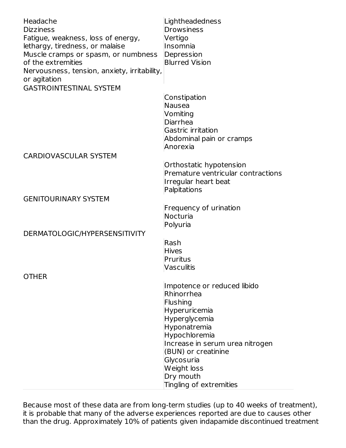| Headache<br><b>Dizziness</b>                 | Lightheadedness<br><b>Drowsiness</b> |
|----------------------------------------------|--------------------------------------|
| Fatigue, weakness, loss of energy,           | Vertigo                              |
| lethargy, tiredness, or malaise              | Insomnia                             |
| Muscle cramps or spasm, or numbness          | Depression                           |
| of the extremities                           | <b>Blurred Vision</b>                |
| Nervousness, tension, anxiety, irritability, |                                      |
| or agitation                                 |                                      |
| <b>GASTROINTESTINAL SYSTEM</b>               |                                      |
|                                              | Constipation                         |
|                                              | Nausea                               |
|                                              | Vomiting                             |
|                                              | Diarrhea                             |
|                                              | Gastric irritation                   |
|                                              | Abdominal pain or cramps             |
|                                              | Anorexia                             |
| <b>CARDIOVASCULAR SYSTEM</b>                 |                                      |
|                                              | Orthostatic hypotension              |
|                                              | Premature ventricular contractions   |
|                                              |                                      |
|                                              | Irregular heart beat<br>Palpitations |
| <b>GENITOURINARY SYSTEM</b>                  |                                      |
|                                              |                                      |
|                                              | <b>Frequency of urination</b>        |
|                                              | Nocturia                             |
|                                              | Polyuria                             |
| DERMATOLOGIC/HYPERSENSITIVITY                |                                      |
|                                              | Rash                                 |
|                                              | <b>Hives</b>                         |
|                                              | <b>Pruritus</b>                      |
|                                              | <b>Vasculitis</b>                    |
| <b>OTHER</b>                                 |                                      |
|                                              | Impotence or reduced libido          |
|                                              | Rhinorrhea                           |
|                                              | Flushing                             |
|                                              | Hyperuricemia                        |
|                                              | Hyperglycemia                        |
|                                              | Hyponatremia                         |
|                                              | Hypochloremia                        |
|                                              | Increase in serum urea nitrogen      |
|                                              | (BUN) or creatinine                  |
|                                              | Glycosuria                           |
|                                              | Weight loss                          |
|                                              | Dry mouth                            |
|                                              | Tingling of extremities              |

Because most of these data are from long-term studies (up to 40 weeks of treatment), it is probable that many of the adverse experiences reported are due to causes other than the drug. Approximately 10% of patients given indapamide discontinued treatment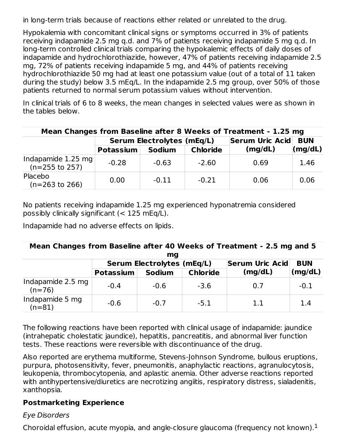in long-term trials because of reactions either related or unrelated to the drug.

Hypokalemia with concomitant clinical signs or symptoms occurred in 3% of patients receiving indapamide 2.5 mg q.d. and 7% of patients receiving indapamide 5 mg q.d. In long-term controlled clinical trials comparing the hypokalemic effects of daily doses of indapamide and hydrochlorothiazide, however, 47% of patients receiving indapamide 2.5 mg, 72% of patients receiving indapamide 5 mg, and 44% of patients receiving hydrochlorothiazide 50 mg had at least one potassium value (out of a total of 11 taken during the study) below 3.5 mEq/L. In the indapamide 2.5 mg group, over 50% of those patients returned to normal serum potassium values without intervention.

In clinical trials of 6 to 8 weeks, the mean changes in selected values were as shown in the tables below.

| Mean Changes from Baseline after 8 Weeks of Treatment - 1.25 mg |                  |                                   |                        |            |         |  |  |
|-----------------------------------------------------------------|------------------|-----------------------------------|------------------------|------------|---------|--|--|
|                                                                 |                  | <b>Serum Electrolytes (mEq/L)</b> | <b>Serum Uric Acid</b> | <b>BUN</b> |         |  |  |
|                                                                 | <b>Potassium</b> | <b>Sodium</b>                     | <b>Chloride</b>        | (mg/dL)    | (mg/dL) |  |  |
| Indapamide 1.25 mg<br>$(n=255$ to 257)                          | $-0.28$          | $-0.63$                           | $-2.60$                | 0.69       | 1.46    |  |  |
| Placebo<br>$(n=263 \text{ to } 266)$                            | 0.00             | $-0.11$                           | $-0.21$                | 0.06       | 0.06    |  |  |

No patients receiving indapamide 1.25 mg experienced hyponatremia considered possibly clinically significant (< 125 mEq/L).

Indapamide had no adverse effects on lipids.

| Mean Changes from Baseline after 40 Weeks of Treatment - 2.5 mg and 5<br>mq |                  |                                   |                 |                 |            |  |
|-----------------------------------------------------------------------------|------------------|-----------------------------------|-----------------|-----------------|------------|--|
|                                                                             |                  | <b>Serum Electrolytes (mEq/L)</b> |                 | Serum Uric Acid | <b>BUN</b> |  |
|                                                                             | <b>Potassium</b> | <b>Sodium</b>                     | <b>Chloride</b> | (mg/dL)         | (mg/dL)    |  |
| Indapamide 2.5 mg<br>$(n=76)$                                               | $-0.4$           | $-0.6$                            | $-3.6$          | 0.7             | $-0.1$     |  |
| Indapamide 5 mg<br>$(n=81)$                                                 | $-0.6$           | $-0.7$                            | $-5.1$          | 1.1             | 1.4        |  |

The following reactions have been reported with clinical usage of indapamide: jaundice (intrahepatic cholestatic jaundice), hepatitis, pancreatitis, and abnormal liver function tests. These reactions were reversible with discontinuance of the drug.

Also reported are erythema multiforme, Stevens-Johnson Syndrome, bullous eruptions, purpura, photosensitivity, fever, pneumonitis, anaphylactic reactions, agranulocytosis, leukopenia, thrombocytopenia, and aplastic anemia. Other adverse reactions reported with antihypertensive/diuretics are necrotizing angiitis, respiratory distress, sialadenitis, xanthopsia.

### **Postmarketing Experience**

### Eye Disorders

Choroidal effusion, acute myopia, and angle-closure glaucoma (frequency not known). $<sup>1</sup>$ </sup>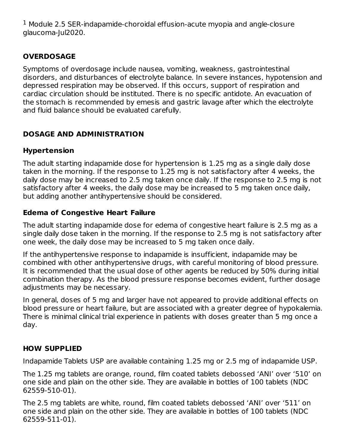$^1$  Module 2.5 SER-indapamide-choroidal effusion-acute myopia and angle-closure glaucoma-Jul2020.

# **OVERDOSAGE**

Symptoms of overdosage include nausea, vomiting, weakness, gastrointestinal disorders, and disturbances of electrolyte balance. In severe instances, hypotension and depressed respiration may be observed. If this occurs, support of respiration and cardiac circulation should be instituted. There is no specific antidote. An evacuation of the stomach is recommended by emesis and gastric lavage after which the electrolyte and fluid balance should be evaluated carefully.

# **DOSAGE AND ADMINISTRATION**

# **Hypertension**

The adult starting indapamide dose for hypertension is 1.25 mg as a single daily dose taken in the morning. If the response to 1.25 mg is not satisfactory after 4 weeks, the daily dose may be increased to 2.5 mg taken once daily. If the response to 2.5 mg is not satisfactory after 4 weeks, the daily dose may be increased to 5 mg taken once daily, but adding another antihypertensive should be considered.

# **Edema of Congestive Heart Failure**

The adult starting indapamide dose for edema of congestive heart failure is 2.5 mg as a single daily dose taken in the morning. If the response to 2.5 mg is not satisfactory after one week, the daily dose may be increased to 5 mg taken once daily.

If the antihypertensive response to indapamide is insufficient, indapamide may be combined with other antihypertensive drugs, with careful monitoring of blood pressure. It is recommended that the usual dose of other agents be reduced by 50% during initial combination therapy. As the blood pressure response becomes evident, further dosage adjustments may be necessary.

In general, doses of 5 mg and larger have not appeared to provide additional effects on blood pressure or heart failure, but are associated with a greater degree of hypokalemia. There is minimal clinical trial experience in patients with doses greater than 5 mg once a day.

# **HOW SUPPLIED**

Indapamide Tablets USP are available containing 1.25 mg or 2.5 mg of indapamide USP.

The 1.25 mg tablets are orange, round, film coated tablets debossed 'ANI' over '510' on one side and plain on the other side. They are available in bottles of 100 tablets (NDC 62559-510-01).

The 2.5 mg tablets are white, round, film coated tablets debossed 'ANI' over '511' on one side and plain on the other side. They are available in bottles of 100 tablets (NDC 62559-511-01).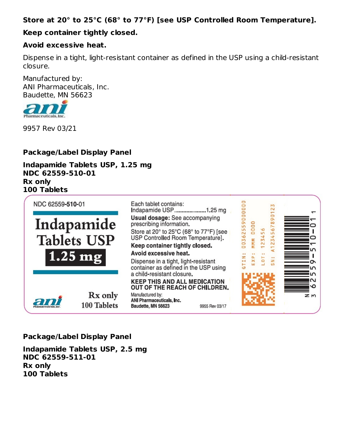**Store at 20° to 25°C (68° to 77°F) [see USP Controlled Room Temperature].**

### **Keep container tightly closed.**

#### **Avoid excessive heat.**

Dispense in a tight, light-resistant container as defined in the USP using a child-resistant closure.

Manufactured by: ANI Pharmaceuticals, Inc. Baudette, MN 56623



9957 Rev 03/21

### **Package/Label Display Panel**

#### **Indapamide Tablets USP, 1.25 mg NDC 62559-510-01 Rx only 100 Tablets**

**Package/Label Display Panel**

**Indapamide Tablets USP, 2.5 mg NDC 62559-511-01 Rx only 100 Tablets**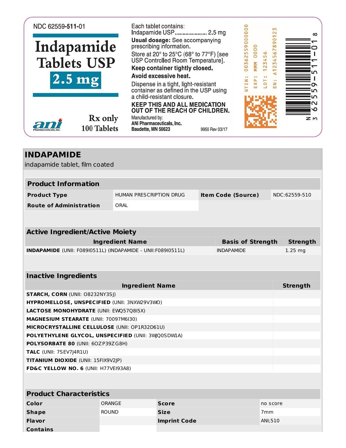

| <b>INDAPAMIDE</b>                                                                      |                        |                         |  |                           |          |                 |
|----------------------------------------------------------------------------------------|------------------------|-------------------------|--|---------------------------|----------|-----------------|
| indapamide tablet, film coated                                                         |                        |                         |  |                           |          |                 |
|                                                                                        |                        |                         |  |                           |          |                 |
| <b>Product Information</b>                                                             |                        |                         |  |                           |          |                 |
| <b>Product Type</b>                                                                    |                        | HUMAN PRESCRIPTION DRUG |  | <b>Item Code (Source)</b> |          | NDC:62559-510   |
| <b>Route of Administration</b>                                                         | ORAL                   |                         |  |                           |          |                 |
|                                                                                        |                        |                         |  |                           |          |                 |
|                                                                                        |                        |                         |  |                           |          |                 |
| <b>Active Ingredient/Active Moiety</b>                                                 |                        |                         |  |                           |          |                 |
|                                                                                        | <b>Ingredient Name</b> |                         |  | <b>Basis of Strength</b>  |          | <b>Strength</b> |
| INDAPAMIDE (UNII: F089I0511L) (INDAPAMIDE - UNII:F089I0511L)                           |                        |                         |  | <b>INDAPAMIDE</b>         |          | $1.25$ mg       |
|                                                                                        |                        |                         |  |                           |          |                 |
|                                                                                        |                        |                         |  |                           |          |                 |
| <b>Inactive Ingredients</b>                                                            |                        |                         |  |                           |          |                 |
|                                                                                        |                        | <b>Ingredient Name</b>  |  |                           |          | <b>Strength</b> |
| <b>STARCH, CORN (UNII: O8232NY3SJ)</b>                                                 |                        |                         |  |                           |          |                 |
| HYPROMELLOSE, UNSPECIFIED (UNII: 3NXW29V3WO)                                           |                        |                         |  |                           |          |                 |
| LACTOSE MONOHYDRATE (UNII: EWQ57Q8I5X)                                                 |                        |                         |  |                           |          |                 |
| MAGNESIUM STEARATE (UNII: 70097M6I30)<br>MICROCRYSTALLINE CELLULOSE (UNII: OP1R32D61U) |                        |                         |  |                           |          |                 |
| POLYETHYLENE GLYCOL, UNSPECIFIED (UNII: 3WQ0SDW1A)                                     |                        |                         |  |                           |          |                 |
| POLYSORBATE 80 (UNII: 60ZP39ZG8H)                                                      |                        |                         |  |                           |          |                 |
| TALC (UNII: 7SEV7J4R1U)                                                                |                        |                         |  |                           |          |                 |
| TITANIUM DIOXIDE (UNII: 15FIX9V2JP)                                                    |                        |                         |  |                           |          |                 |
| FD&C YELLOW NO. 6 (UNII: H77VEI93A8)                                                   |                        |                         |  |                           |          |                 |
|                                                                                        |                        |                         |  |                           |          |                 |
|                                                                                        |                        |                         |  |                           |          |                 |
| <b>Product Characteristics</b>                                                         |                        |                         |  |                           |          |                 |
| Color                                                                                  | ORANGE                 | <b>Score</b>            |  |                           | no score |                 |
| <b>Shape</b>                                                                           | <b>ROUND</b>           | <b>Size</b>             |  | 7 <sub>mm</sub>           |          |                 |
| <b>Flavor</b><br><b>Imprint Code</b>                                                   |                        |                         |  |                           | ANI;510  |                 |
| <b>Contains</b>                                                                        |                        |                         |  |                           |          |                 |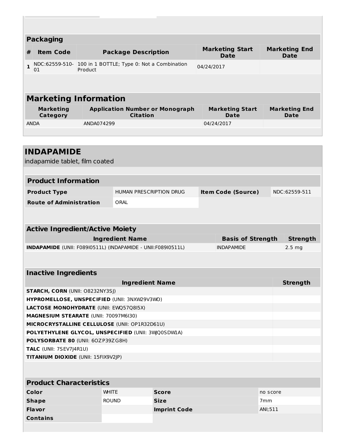| <b>Packaging</b>                                                                           |  |            |                                                               |  |  |                                       |  |                                     |  |
|--------------------------------------------------------------------------------------------|--|------------|---------------------------------------------------------------|--|--|---------------------------------------|--|-------------------------------------|--|
| <b>Item Code</b><br>#                                                                      |  |            | <b>Package Description</b>                                    |  |  | <b>Marketing Start</b><br><b>Date</b> |  | <b>Marketing End</b><br><b>Date</b> |  |
| NDC:62559-510- 100 in 1 BOTTLE; Type 0: Not a Combination<br>$\mathbf{1}$<br>01<br>Product |  | 04/24/2017 |                                                               |  |  |                                       |  |                                     |  |
|                                                                                            |  |            |                                                               |  |  |                                       |  |                                     |  |
| <b>Marketing Information</b>                                                               |  |            |                                                               |  |  |                                       |  |                                     |  |
| <b>Marketing</b><br>Category                                                               |  |            | <b>Application Number or Monograph</b><br><b>Citation</b>     |  |  | <b>Marketing Start</b><br><b>Date</b> |  | <b>Marketing End</b><br><b>Date</b> |  |
| <b>ANDA</b>                                                                                |  | ANDA074299 |                                                               |  |  | 04/24/2017                            |  |                                     |  |
|                                                                                            |  |            |                                                               |  |  |                                       |  |                                     |  |
| <b>INDAPAMIDE</b>                                                                          |  |            |                                                               |  |  |                                       |  |                                     |  |
| indapamide tablet, film coated                                                             |  |            |                                                               |  |  |                                       |  |                                     |  |
|                                                                                            |  |            |                                                               |  |  |                                       |  |                                     |  |
| <b>Product Information</b>                                                                 |  |            |                                                               |  |  |                                       |  |                                     |  |
| <b>Product Type</b>                                                                        |  |            | <b>HUMAN PRESCRIPTION DRUG</b>                                |  |  | <b>Item Code (Source)</b>             |  | NDC:62559-511                       |  |
| <b>Route of Administration</b>                                                             |  |            | ORAL                                                          |  |  |                                       |  |                                     |  |
|                                                                                            |  |            |                                                               |  |  |                                       |  |                                     |  |
| <b>Active Ingredient/Active Moiety</b>                                                     |  |            |                                                               |  |  |                                       |  |                                     |  |
| <b>Basis of Strength</b><br><b>Strength</b><br><b>Ingredient Name</b>                      |  |            |                                                               |  |  |                                       |  |                                     |  |
|                                                                                            |  |            | INDAPAMIDE (UNII: F089I0511L) (INDAPAMIDE - UNII: F089I0511L) |  |  | <b>INDAPAMIDE</b>                     |  | 2.5 <sub>mg</sub>                   |  |
|                                                                                            |  |            |                                                               |  |  |                                       |  |                                     |  |
| <b>Inactive Ingredients</b>                                                                |  |            |                                                               |  |  |                                       |  |                                     |  |
|                                                                                            |  |            | <b>Ingredient Name</b>                                        |  |  |                                       |  | <b>Strength</b>                     |  |
| <b>CTADCU CODN (HAUL OCCOONLYCE)</b>                                                       |  |            |                                                               |  |  |                                       |  |                                     |  |

|                                                      | ------- |
|------------------------------------------------------|---------|
| <b>STARCH, CORN (UNII: 08232NY3SI)</b>               |         |
| <b>HYPROMELLOSE, UNSPECIFIED (UNII: 3NXW29V3WO)</b>  |         |
| <b>LACTOSE MONOHYDRATE (UNII: EWO5708I5X)</b>        |         |
| <b>MAGNESIUM STEARATE (UNII: 70097M6I30)</b>         |         |
| <b>MICROCRYSTALLINE CELLULOSE (UNII: OP1R32D61U)</b> |         |
| POLYETHYLENE GLYCOL, UNSPECIFIED (UNII: 3WQ0SDW1A)   |         |
| <b>POLYSORBATE 80 (UNII: 60ZP39ZG8H)</b>             |         |
| <b>TALC</b> (UNII: 7SEV7J4R1U)                       |         |
| <b>TITANIUM DIOXIDE</b> (UNII: 15FIX9V2JP)           |         |
|                                                      |         |

# **Product Characteristics**

| Color           | <b>WHITE</b> | <b>Score</b>        | no score        |
|-----------------|--------------|---------------------|-----------------|
| <b>Shape</b>    | <b>ROUND</b> | <b>Size</b>         | 7 <sub>mm</sub> |
| <b>Flavor</b>   |              | <b>Imprint Code</b> | ANI; 511        |
| <b>Contains</b> |              |                     |                 |